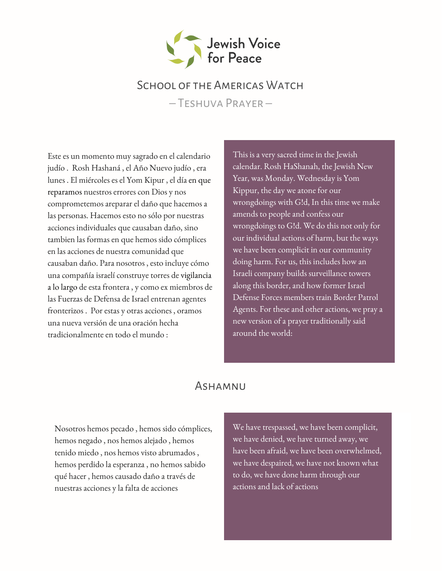

## SCHOOL OF THE AMERICAS WATCH – Teshuva Prayer –

Este es un momento muy sagrado en el calendario judío . Rosh Hashaná , el Año Nuevo judío , era lunes . El miércoles es el Yom Kipur , el día en que reparamos nuestros errores con Dios y nos comprometemos areparar el daño que hacemos a las personas. Hacemos esto no sólo por nuestras acciones individuales que causaban daño, sino tambien las formas en que hemos sido cómplices en las acciones de nuestra comunidad que causaban daño. Para nosotros , esto incluye cómo una compañía israelí construye torres de vigilancia a lo largo de esta frontera , y como ex miembros de las Fuerzas de Defensa de Israel entrenan agentes fronterizos . Por estas y otras acciones , oramos una nueva versión de una oración hecha tradicionalmente en todo el mundo :

This is a very sacred time in the Jewish calendar. Rosh HaShanah, the Jewish New Year, was Monday. Wednesday is Yom Kippur, the day we atone for our wrongdoings with G!d, In this time we make amends to people and confess our wrongdoings to G!d. We do this not only for our individual actions of harm, but the ways we have been complicit in our community doing harm. For us, this includes how an Israeli company builds surveillance towers along this border, and how former Israel Defense Forces members train Border Patrol Agents. For these and other actions, we pray a new version of a prayer traditionally said around the world:

## ASHAMNU

Nosotros hemos pecado , hemos sido cómplices, hemos negado , nos hemos alejado , hemos tenido miedo , nos hemos visto abrumados , hemos perdido la esperanza , no hemos sabido qué hacer , hemos causado daño a través de nuestras acciones y la falta de acciones

We have trespassed, we have been complicit, we have denied, we have turned away, we have been afraid, we have been overwhelmed, we have despaired, we have not known what to do, we have done harm through our actions and lack of actions